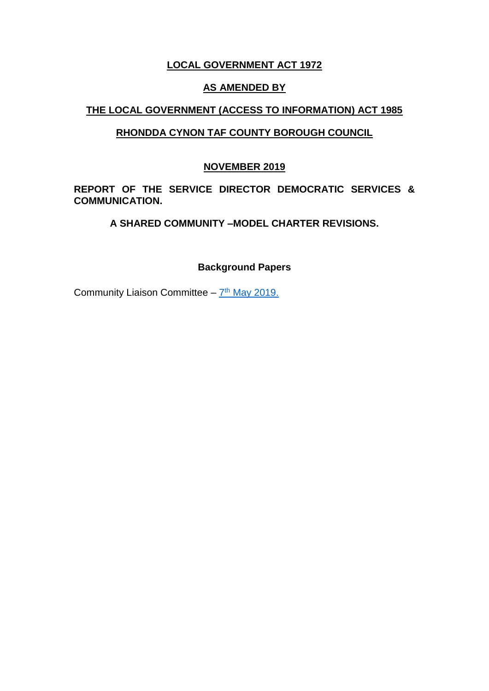# **LOCAL GOVERNMENT ACT 1972**

## **AS AMENDED BY**

# **THE LOCAL GOVERNMENT (ACCESS TO INFORMATION) ACT 1985**

# **RHONDDA CYNON TAF COUNTY BOROUGH COUNCIL**

## **27TH NOVEMBER 2019**

**REPORT OF THE SERVICE DIRECTOR DEMOCRATIC SERVICES & COMMUNICATION.** 

**A SHARED COMMUNITY –MODEL CHARTER REVISIONS.**

### **Background Papers**

Community Liaison Committee - 7<sup>th</sup> [May 2019.](https://www.rctcbc.gov.uk/EN/Council/CouncillorsCommitteesandMeetings/Meetings/CommunityLiaisonCommittee/2019/05/07/Reports/ItemCommunityCouncilCharter.pdf)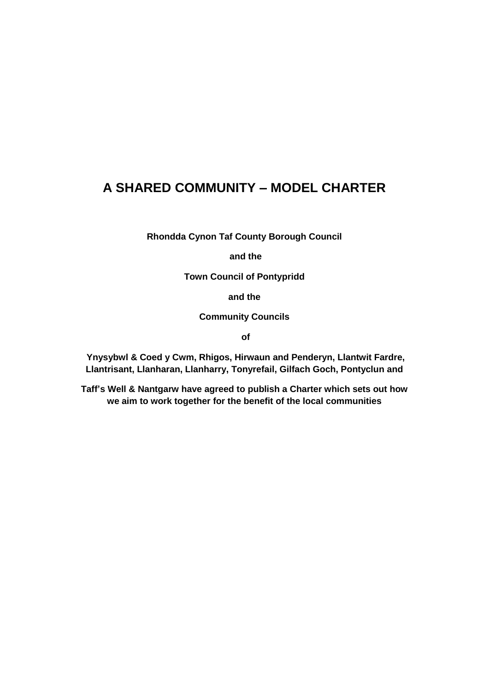# **A SHARED COMMUNITY – MODEL CHARTER**

**Rhondda Cynon Taf County Borough Council**

**and the** 

**Town Council of Pontypridd** 

**and the** 

**Community Councils**

**of**

**Ynysybwl & Coed y Cwm, Rhigos, Hirwaun and Penderyn, Llantwit Fardre, Llantrisant, Llanharan, Llanharry, Tonyrefail, Gilfach Goch, Pontyclun and** 

**Taff's Well & Nantgarw have agreed to publish a Charter which sets out how we aim to work together for the benefit of the local communities**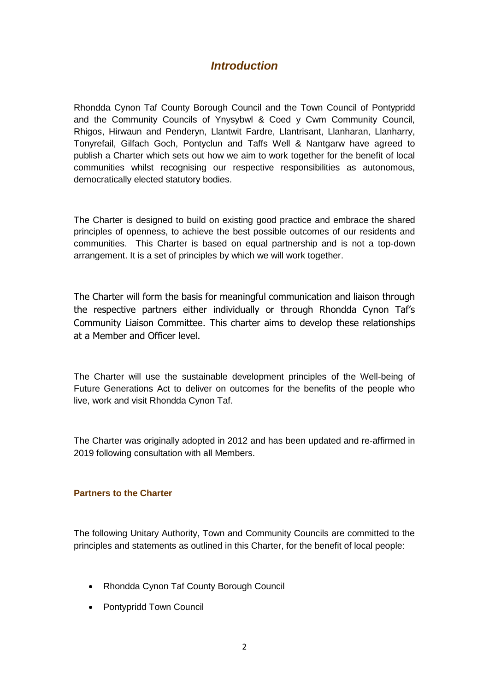# *Introduction*

Rhondda Cynon Taf County Borough Council and the Town Council of Pontypridd and the Community Councils of Ynysybwl & Coed y Cwm Community Council, Rhigos, Hirwaun and Penderyn, Llantwit Fardre, Llantrisant, Llanharan, Llanharry, Tonyrefail, Gilfach Goch, Pontyclun and Taffs Well & Nantgarw have agreed to publish a Charter which sets out how we aim to work together for the benefit of local communities whilst recognising our respective responsibilities as autonomous, democratically elected statutory bodies.

The Charter is designed to build on existing good practice and embrace the shared principles of openness, to achieve the best possible outcomes of our residents and communities. This Charter is based on equal partnership and is not a top-down arrangement. It is a set of principles by which we will work together.

The Charter will form the basis for meaningful communication and liaison through the respective partners either individually or through Rhondda Cynon Taf's Community Liaison Committee. This charter aims to develop these relationships at a Member and Officer level.

The Charter will use the sustainable development principles of the Well-being of Future Generations Act to deliver on outcomes for the benefits of the people who live, work and visit Rhondda Cynon Taf.

The Charter was originally adopted in 2012 and has been updated and re-affirmed in 2019 following consultation with all Members.

#### **Partners to the Charter**

The following Unitary Authority, Town and Community Councils are committed to the principles and statements as outlined in this Charter, for the benefit of local people:

- Rhondda Cynon Taf County Borough Council
- Pontypridd Town Council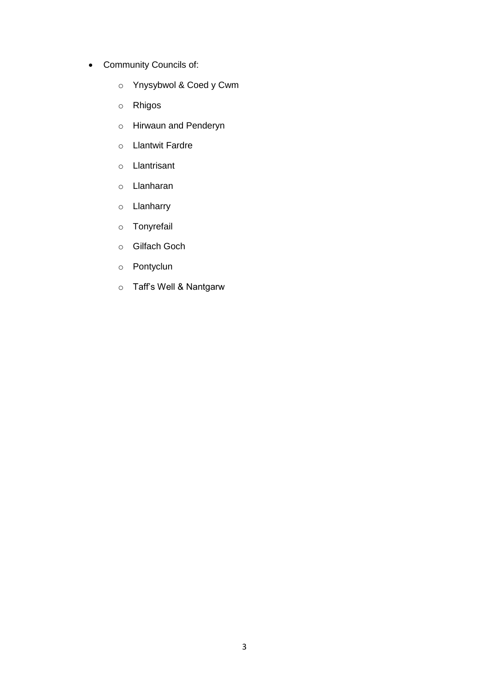- Community Councils of:
	- o Ynysybwol & Coed y Cwm
	- o Rhigos
	- o Hirwaun and Penderyn
	- o Llantwit Fardre
	- o Llantrisant
	- o Llanharan
	- o Llanharry
	- o Tonyrefail
	- o Gilfach Goch
	- o Pontyclun
	- o Taff's Well & Nantgarw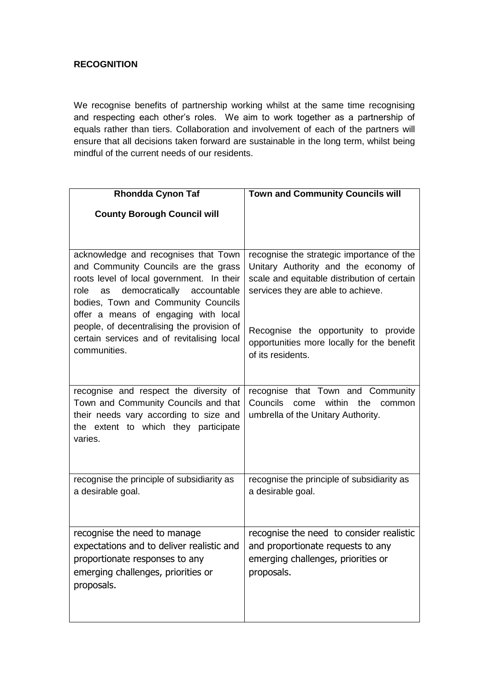#### **RECOGNITION**

We recognise benefits of partnership working whilst at the same time recognising and respecting each other's roles. We aim to work together as a partnership of equals rather than tiers. Collaboration and involvement of each of the partners will ensure that all decisions taken forward are sustainable in the long term, whilst being mindful of the current needs of our residents.

| <b>Rhondda Cynon Taf</b>                                                                                                                                                                                                                                | <b>Town and Community Councils will</b>                                                                                                                                |
|---------------------------------------------------------------------------------------------------------------------------------------------------------------------------------------------------------------------------------------------------------|------------------------------------------------------------------------------------------------------------------------------------------------------------------------|
| <b>County Borough Council will</b>                                                                                                                                                                                                                      |                                                                                                                                                                        |
| acknowledge and recognises that Town<br>and Community Councils are the grass<br>roots level of local government. In their<br>democratically<br>role<br>accountable<br>as<br>bodies, Town and Community Councils<br>offer a means of engaging with local | recognise the strategic importance of the<br>Unitary Authority and the economy of<br>scale and equitable distribution of certain<br>services they are able to achieve. |
| people, of decentralising the provision of<br>certain services and of revitalising local<br>communities.                                                                                                                                                | Recognise the opportunity to provide<br>opportunities more locally for the benefit<br>of its residents.                                                                |
| recognise and respect the diversity of<br>Town and Community Councils and that<br>their needs vary according to size and<br>the extent to which they participate<br>varies.                                                                             | recognise that Town and Community<br>Councils<br>come within<br>the<br>common<br>umbrella of the Unitary Authority.                                                    |
| recognise the principle of subsidiarity as<br>a desirable goal.                                                                                                                                                                                         | recognise the principle of subsidiarity as<br>a desirable goal.                                                                                                        |
| recognise the need to manage<br>expectations and to deliver realistic and<br>proportionate responses to any<br>emerging challenges, priorities or<br>proposals.                                                                                         | recognise the need to consider realistic<br>and proportionate requests to any<br>emerging challenges, priorities or<br>proposals.                                      |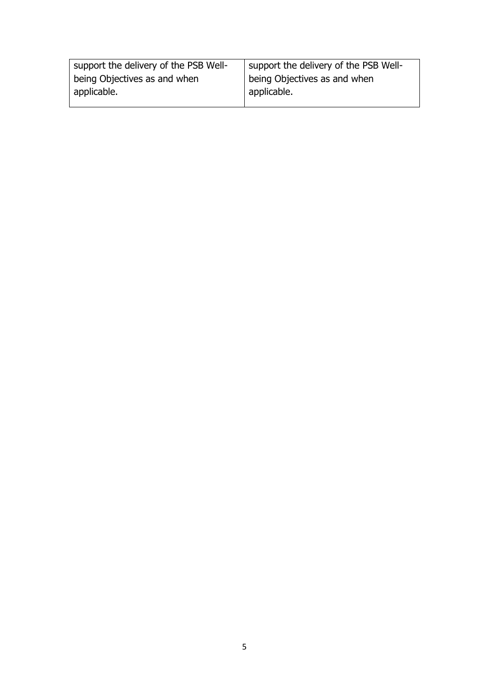| support the delivery of the PSB Well- | support the delivery of the PSB Well- |
|---------------------------------------|---------------------------------------|
| being Objectives as and when          | being Objectives as and when          |
| applicable.                           | applicable.                           |
|                                       |                                       |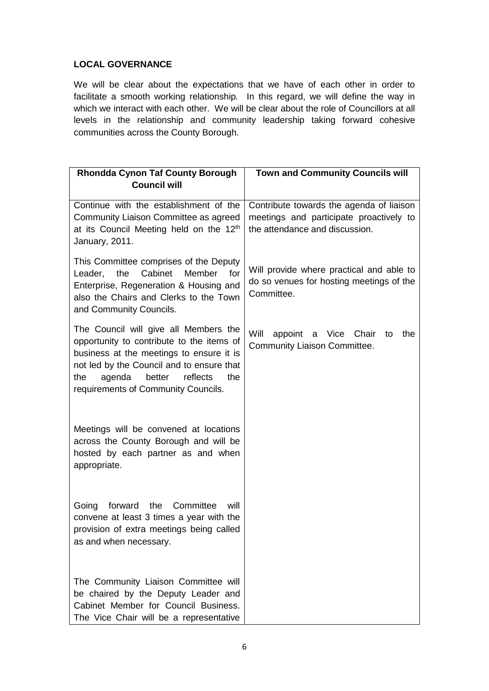#### **LOCAL GOVERNANCE**

We will be clear about the expectations that we have of each other in order to facilitate a smooth working relationship. In this regard, we will define the way in which we interact with each other. We will be clear about the role of Councillors at all levels in the relationship and community leadership taking forward cohesive communities across the County Borough.

| <b>Rhondda Cynon Taf County Borough</b>                                                                                                                                                                                                                          | <b>Town and Community Councils will</b>                                                                               |
|------------------------------------------------------------------------------------------------------------------------------------------------------------------------------------------------------------------------------------------------------------------|-----------------------------------------------------------------------------------------------------------------------|
| <b>Council will</b>                                                                                                                                                                                                                                              |                                                                                                                       |
| Continue with the establishment of the<br>Community Liaison Committee as agreed<br>at its Council Meeting held on the 12 <sup>th</sup><br>January, 2011.                                                                                                         | Contribute towards the agenda of liaison<br>meetings and participate proactively to<br>the attendance and discussion. |
| This Committee comprises of the Deputy<br>the<br>Cabinet<br>Member<br>Leader,<br>for<br>Enterprise, Regeneration & Housing and<br>also the Chairs and Clerks to the Town<br>and Community Councils.                                                              | Will provide where practical and able to<br>do so venues for hosting meetings of the<br>Committee.                    |
| The Council will give all Members the<br>opportunity to contribute to the items of<br>business at the meetings to ensure it is<br>not led by the Council and to ensure that<br>reflects<br>agenda<br>better<br>the<br>the<br>requirements of Community Councils. | Will<br>appoint a Vice<br>Chair<br>the<br>to<br><b>Community Liaison Committee.</b>                                   |
| Meetings will be convened at locations<br>across the County Borough and will be<br>hosted by each partner as and when<br>appropriate.                                                                                                                            |                                                                                                                       |
| the<br>Committee<br>Going<br>forward<br>will<br>convene at least 3 times a year with the<br>provision of extra meetings being called<br>as and when necessary.                                                                                                   |                                                                                                                       |
| The Community Liaison Committee will<br>be chaired by the Deputy Leader and<br>Cabinet Member for Council Business.<br>The Vice Chair will be a representative                                                                                                   |                                                                                                                       |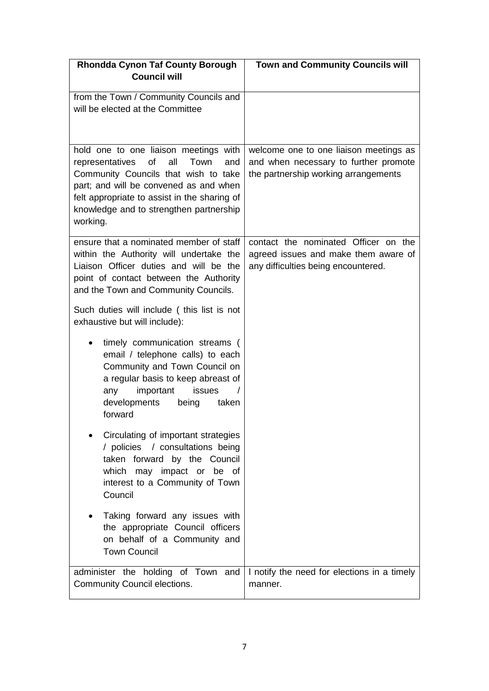| <b>Rhondda Cynon Taf County Borough</b>                                                                                                                                                                                                                                       | <b>Town and Community Councils will</b>                                                                                 |
|-------------------------------------------------------------------------------------------------------------------------------------------------------------------------------------------------------------------------------------------------------------------------------|-------------------------------------------------------------------------------------------------------------------------|
| <b>Council will</b>                                                                                                                                                                                                                                                           |                                                                                                                         |
| from the Town / Community Councils and<br>will be elected at the Committee                                                                                                                                                                                                    |                                                                                                                         |
| hold one to one liaison meetings with<br>of<br>all<br>Town<br>and<br>representatives<br>Community Councils that wish to take<br>part; and will be convened as and when<br>felt appropriate to assist in the sharing of<br>knowledge and to strengthen partnership<br>working. | welcome one to one liaison meetings as<br>and when necessary to further promote<br>the partnership working arrangements |
| ensure that a nominated member of staff<br>within the Authority will undertake the<br>Liaison Officer duties and will be the<br>point of contact between the Authority<br>and the Town and Community Councils.                                                                | contact the nominated Officer on the<br>agreed issues and make them aware of<br>any difficulties being encountered.     |
| Such duties will include (this list is not<br>exhaustive but will include):                                                                                                                                                                                                   |                                                                                                                         |
| timely communication streams (<br>email / telephone calls) to each<br>Community and Town Council on<br>a regular basis to keep abreast of<br>important<br>any<br>issues<br>$\prime$<br>developments<br>being<br>taken<br>forward                                              |                                                                                                                         |
| Circulating of important strategies<br>/ policies / consultations being<br>taken forward by the Council<br>which may impact or be of<br>interest to a Community of Town<br>Council                                                                                            |                                                                                                                         |
| Taking forward any issues with<br>٠<br>the appropriate Council officers<br>on behalf of a Community and<br><b>Town Council</b>                                                                                                                                                |                                                                                                                         |
| administer the holding of Town and<br><b>Community Council elections.</b>                                                                                                                                                                                                     | I notify the need for elections in a timely<br>manner.                                                                  |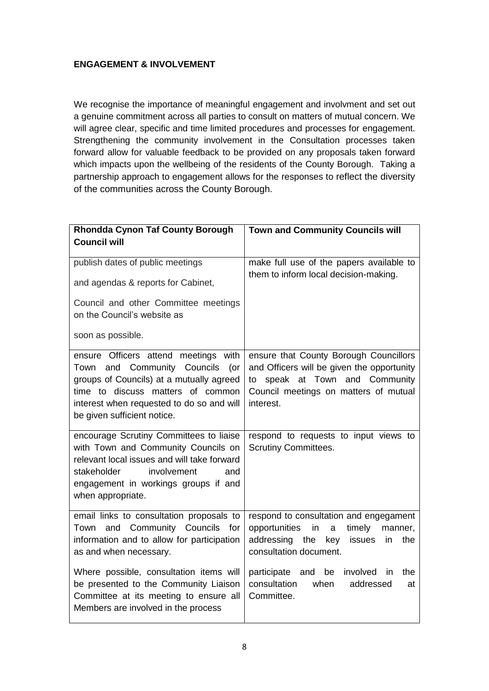#### **ENGAGEMENT & INVOLVEMENT**

We recognise the importance of meaningful engagement and involvment and set out a genuine commitment across all parties to consult on matters of mutual concern. We will agree clear, specific and time limited procedures and processes for engagement. Strengthening the community involvement in the Consultation processes taken forward allow for valuable feedback to be provided on any proposals taken forward which impacts upon the wellbeing of the residents of the County Borough. Taking a partnership approach to engagement allows for the responses to reflect the diversity of the communities across the County Borough.

| <b>Rhondda Cynon Taf County Borough</b><br><b>Council will</b>                                                                                                                                                                       | <b>Town and Community Councils will</b>                                                                                                                                      |
|--------------------------------------------------------------------------------------------------------------------------------------------------------------------------------------------------------------------------------------|------------------------------------------------------------------------------------------------------------------------------------------------------------------------------|
| publish dates of public meetings                                                                                                                                                                                                     | make full use of the papers available to<br>them to inform local decision-making.                                                                                            |
| and agendas & reports for Cabinet,                                                                                                                                                                                                   |                                                                                                                                                                              |
| Council and other Committee meetings<br>on the Council's website as                                                                                                                                                                  |                                                                                                                                                                              |
| soon as possible.                                                                                                                                                                                                                    |                                                                                                                                                                              |
| ensure Officers attend meetings with<br>Town and Community Councils (or<br>groups of Councils) at a mutually agreed<br>time to discuss matters of common<br>interest when requested to do so and will<br>be given sufficient notice. | ensure that County Borough Councillors<br>and Officers will be given the opportunity<br>to speak at Town and Community<br>Council meetings on matters of mutual<br>interest. |
| encourage Scrutiny Committees to liaise<br>with Town and Community Councils on<br>relevant local issues and will take forward<br>stakeholder<br>involvement<br>and<br>engagement in workings groups if and<br>when appropriate.      | respond to requests to input views to<br><b>Scrutiny Committees.</b>                                                                                                         |
| email links to consultation proposals to<br>Town and Community Councils for<br>information and to allow for participation<br>as and when necessary.                                                                                  | respond to consultation and engegament<br>opportunities<br>in<br>timely<br>a<br>manner,<br>addressing the<br>key<br>issues<br>in<br>the<br>consultation document.            |
| Where possible, consultation items will<br>be presented to the Community Liaison<br>Committee at its meeting to ensure all<br>Members are involved in the process                                                                    | participate and<br>be<br>involved<br>the<br><i>in</i><br>consultation<br>addressed<br>when<br>at<br>Committee.                                                               |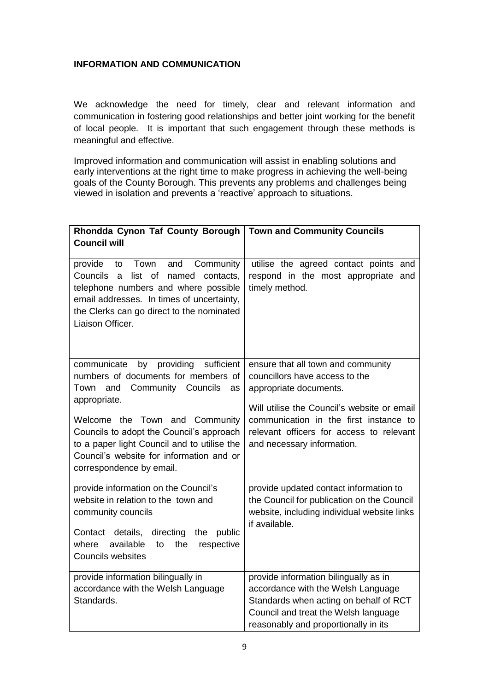#### **INFORMATION AND COMMUNICATION**

We acknowledge the need for timely, clear and relevant information and communication in fostering good relationships and better joint working for the benefit of local people. It is important that such engagement through these methods is meaningful and effective.

Improved information and communication will assist in enabling solutions and early interventions at the right time to make progress in achieving the well-being goals of the County Borough. This prevents any problems and challenges being viewed in isolation and prevents a 'reactive' approach to situations.

| Rhondda Cynon Taf County Borough<br><b>Council will</b>                                                                                                                                                                                                                                                                                              | <b>Town and Community Councils</b>                                                                                                                                                                                                                                |
|------------------------------------------------------------------------------------------------------------------------------------------------------------------------------------------------------------------------------------------------------------------------------------------------------------------------------------------------------|-------------------------------------------------------------------------------------------------------------------------------------------------------------------------------------------------------------------------------------------------------------------|
| provide<br>Town<br>and<br>Community<br>to<br>list of<br>Councils<br>named<br>a<br>contacts,<br>telephone numbers and where possible<br>email addresses. In times of uncertainty,<br>the Clerks can go direct to the nominated<br>Liaison Officer.                                                                                                    | utilise the agreed contact points and<br>respond in the most appropriate and<br>timely method.                                                                                                                                                                    |
| by providing sufficient<br>communicate<br>numbers of documents for members of<br>and<br><b>Community Councils</b><br>Town<br>as<br>appropriate.<br>Welcome the Town and Community<br>Councils to adopt the Council's approach<br>to a paper light Council and to utilise the<br>Council's website for information and or<br>correspondence by email. | ensure that all town and community<br>councillors have access to the<br>appropriate documents.<br>Will utilise the Council's website or email<br>communication in the first instance to<br>relevant officers for access to relevant<br>and necessary information. |
| provide information on the Council's<br>website in relation to the town and<br>community councils<br>Contact details, directing<br>the<br>public<br>available<br>where<br>the<br>respective<br>to<br><b>Councils websites</b>                                                                                                                        | provide updated contact information to<br>the Council for publication on the Council<br>website, including individual website links<br>if available.                                                                                                              |
| provide information bilingually in<br>accordance with the Welsh Language<br>Standards.                                                                                                                                                                                                                                                               | provide information bilingually as in<br>accordance with the Welsh Language<br>Standards when acting on behalf of RCT<br>Council and treat the Welsh language<br>reasonably and proportionally in its                                                             |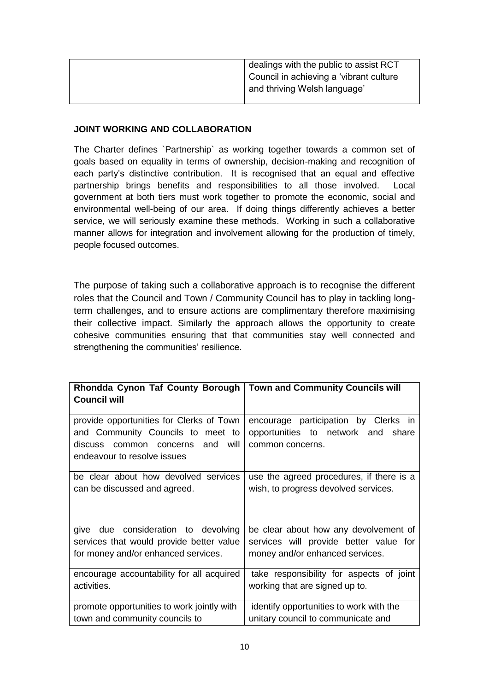| dealings with the public to assist RCT  |
|-----------------------------------------|
| Council in achieving a 'vibrant culture |
| and thriving Welsh language'            |
|                                         |

#### **JOINT WORKING AND COLLABORATION**

The Charter defines `Partnership` as working together towards a common set of goals based on equality in terms of ownership, decision-making and recognition of each party's distinctive contribution. It is recognised that an equal and effective partnership brings benefits and responsibilities to all those involved. Local government at both tiers must work together to promote the economic, social and environmental well-being of our area. If doing things differently achieves a better service, we will seriously examine these methods. Working in such a collaborative manner allows for integration and involvement allowing for the production of timely, people focused outcomes.

The purpose of taking such a collaborative approach is to recognise the different roles that the Council and Town / Community Council has to play in tackling longterm challenges, and to ensure actions are complimentary therefore maximising their collective impact. Similarly the approach allows the opportunity to create cohesive communities ensuring that that communities stay well connected and strengthening the communities' resilience.

| Rhondda Cynon Taf County Borough<br><b>Council will</b>                                                                                                | <b>Town and Community Councils will</b>                                                           |
|--------------------------------------------------------------------------------------------------------------------------------------------------------|---------------------------------------------------------------------------------------------------|
| provide opportunities for Clerks of Town<br>and Community Councils to meet to<br>discuss common concerns<br>and<br>will<br>endeavour to resolve issues | encourage participation by Clerks in<br>opportunities to network and<br>share<br>common concerns. |
| be clear about how devolved services                                                                                                                   | use the agreed procedures, if there is a                                                          |
| can be discussed and agreed.                                                                                                                           | wish, to progress devolved services.                                                              |
| give due consideration to devolving                                                                                                                    | be clear about how any devolvement of                                                             |
| services that would provide better value                                                                                                               | services will provide better value for                                                            |
| for money and/or enhanced services.                                                                                                                    | money and/or enhanced services.                                                                   |
| encourage accountability for all acquired                                                                                                              | take responsibility for aspects of joint                                                          |
| activities.                                                                                                                                            | working that are signed up to.                                                                    |
| promote opportunities to work jointly with                                                                                                             | identify opportunities to work with the                                                           |
| town and community councils to                                                                                                                         | unitary council to communicate and                                                                |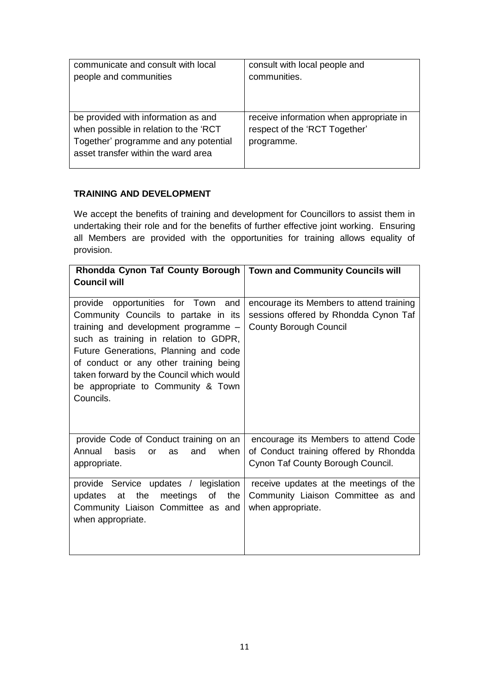| communicate and consult with local                                                                                                                           | consult with local people and                                                          |
|--------------------------------------------------------------------------------------------------------------------------------------------------------------|----------------------------------------------------------------------------------------|
| people and communities                                                                                                                                       | communities.                                                                           |
| be provided with information as and<br>when possible in relation to the 'RCT<br>Together' programme and any potential<br>asset transfer within the ward area | receive information when appropriate in<br>respect of the 'RCT Together'<br>programme. |

#### **TRAINING AND DEVELOPMENT**

We accept the benefits of training and development for Councillors to assist them in undertaking their role and for the benefits of further effective joint working. Ensuring all Members are provided with the opportunities for training allows equality of provision.

| Rhondda Cynon Taf County Borough   Town and Community Councils will<br><b>Council will</b>                                                                                                                                                                                                                                                    |                                                                                                                     |
|-----------------------------------------------------------------------------------------------------------------------------------------------------------------------------------------------------------------------------------------------------------------------------------------------------------------------------------------------|---------------------------------------------------------------------------------------------------------------------|
| provide opportunities for Town and<br>Community Councils to partake in its<br>training and development programme -<br>such as training in relation to GDPR,<br>Future Generations, Planning and code<br>of conduct or any other training being<br>taken forward by the Council which would<br>be appropriate to Community & Town<br>Councils. | encourage its Members to attend training<br>sessions offered by Rhondda Cynon Taf<br><b>County Borough Council</b>  |
| provide Code of Conduct training on an<br>Annual<br>basis<br>and<br>when<br>or<br>as<br>appropriate.                                                                                                                                                                                                                                          | encourage its Members to attend Code<br>of Conduct training offered by Rhondda<br>Cynon Taf County Borough Council. |
| provide Service updates / legislation<br>updates at the meetings of<br>the<br>Community Liaison Committee as and<br>when appropriate.                                                                                                                                                                                                         | receive updates at the meetings of the<br>Community Liaison Committee as and<br>when appropriate.                   |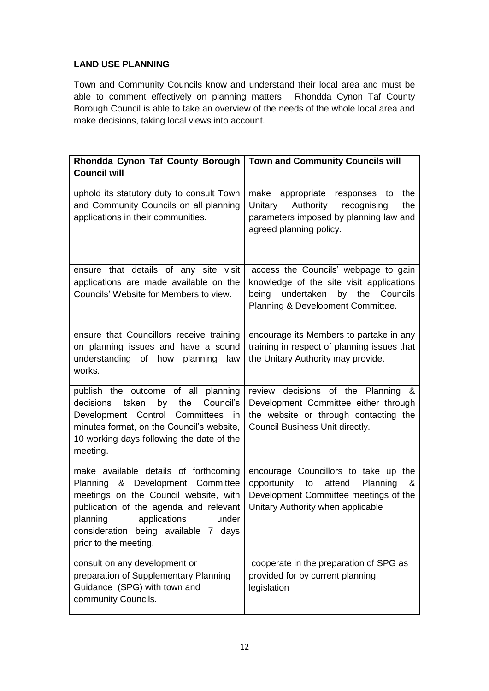#### **LAND USE PLANNING**

Town and Community Councils know and understand their local area and must be able to comment effectively on planning matters. Rhondda Cynon Taf County Borough Council is able to take an overview of the needs of the whole local area and make decisions, taking local views into account.

| Rhondda Cynon Taf County Borough   Town and Community Councils will                                                                                                                                                                                                |                                                                                                                                                                    |
|--------------------------------------------------------------------------------------------------------------------------------------------------------------------------------------------------------------------------------------------------------------------|--------------------------------------------------------------------------------------------------------------------------------------------------------------------|
| <b>Council will</b>                                                                                                                                                                                                                                                |                                                                                                                                                                    |
| uphold its statutory duty to consult Town<br>and Community Councils on all planning<br>applications in their communities.                                                                                                                                          | make appropriate responses to<br>the<br>Authority<br>Unitary<br>recognising<br>the<br>parameters imposed by planning law and<br>agreed planning policy.            |
| ensure that details of any site visit<br>applications are made available on the<br>Councils' Website for Members to view.                                                                                                                                          | access the Councils' webpage to gain<br>knowledge of the site visit applications<br>undertaken<br>by the<br>Councils<br>being<br>Planning & Development Committee. |
| ensure that Councillors receive training<br>on planning issues and have a sound<br>understanding of how planning<br>law<br>works.                                                                                                                                  | encourage its Members to partake in any<br>training in respect of planning issues that<br>the Unitary Authority may provide.                                       |
| publish the outcome of all planning<br>decisions<br>taken<br>the<br>Council's<br>by<br>Development Control Committees in<br>minutes format, on the Council's website,<br>10 working days following the date of the<br>meeting.                                     | review decisions of the Planning &<br>Development Committee either through<br>the website or through contacting the<br>Council Business Unit directly.             |
| make available details of forthcoming<br>Planning & Development Committee<br>meetings on the Council website, with<br>publication of the agenda and relevant<br>planning<br>applications<br>under<br>consideration being available 7 days<br>prior to the meeting. | encourage Councillors to take up the<br>opportunity to<br>attend<br>Planning<br>&<br>Development Committee meetings of the<br>Unitary Authority when applicable    |
| consult on any development or<br>preparation of Supplementary Planning<br>Guidance (SPG) with town and<br>community Councils.                                                                                                                                      | cooperate in the preparation of SPG as<br>provided for by current planning<br>legislation                                                                          |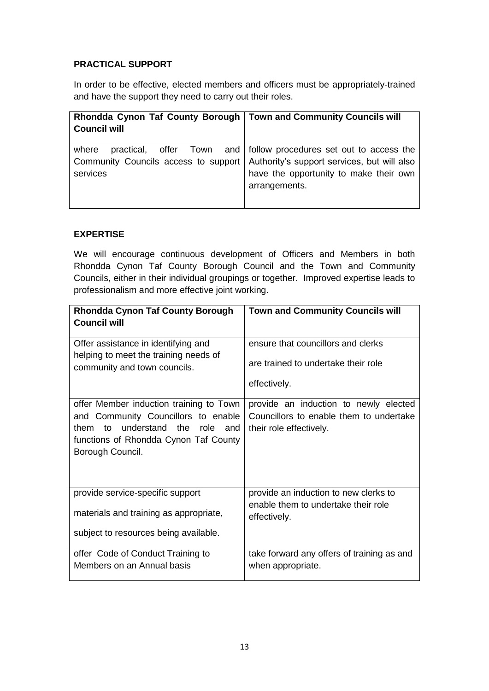#### **PRACTICAL SUPPORT**

In order to be effective, elected members and officers must be appropriately-trained and have the support they need to carry out their roles.

| Rhondda Cynon Taf County Borough   Town and Community Councils will<br><b>Council will</b> |                                                                                                                                                                               |
|--------------------------------------------------------------------------------------------|-------------------------------------------------------------------------------------------------------------------------------------------------------------------------------|
| where<br>Community Councils access to support<br>services                                  | practical, offer Town and   follow procedures set out to access the<br>Authority's support services, but will also<br>have the opportunity to make their own<br>arrangements. |

#### **EXPERTISE**

We will encourage continuous development of Officers and Members in both Rhondda Cynon Taf County Borough Council and the Town and Community Councils, either in their individual groupings or together. Improved expertise leads to professionalism and more effective joint working.

| <b>Rhondda Cynon Taf County Borough</b><br><b>Council will</b>                                                                                                                       | <b>Town and Community Councils will</b>                                                                     |
|--------------------------------------------------------------------------------------------------------------------------------------------------------------------------------------|-------------------------------------------------------------------------------------------------------------|
| Offer assistance in identifying and                                                                                                                                                  | ensure that councillors and clerks                                                                          |
| helping to meet the training needs of<br>community and town councils.                                                                                                                | are trained to undertake their role                                                                         |
|                                                                                                                                                                                      | effectively.                                                                                                |
| offer Member induction training to Town<br>and Community Councillors to enable<br>understand the<br>them to<br>role and<br>functions of Rhondda Cynon Taf County<br>Borough Council. | provide an induction to newly elected<br>Councillors to enable them to undertake<br>their role effectively. |
| provide service-specific support                                                                                                                                                     | provide an induction to new clerks to                                                                       |
| materials and training as appropriate,                                                                                                                                               | enable them to undertake their role<br>effectively.                                                         |
| subject to resources being available.                                                                                                                                                |                                                                                                             |
| offer Code of Conduct Training to                                                                                                                                                    | take forward any offers of training as and                                                                  |
| Members on an Annual basis                                                                                                                                                           | when appropriate.                                                                                           |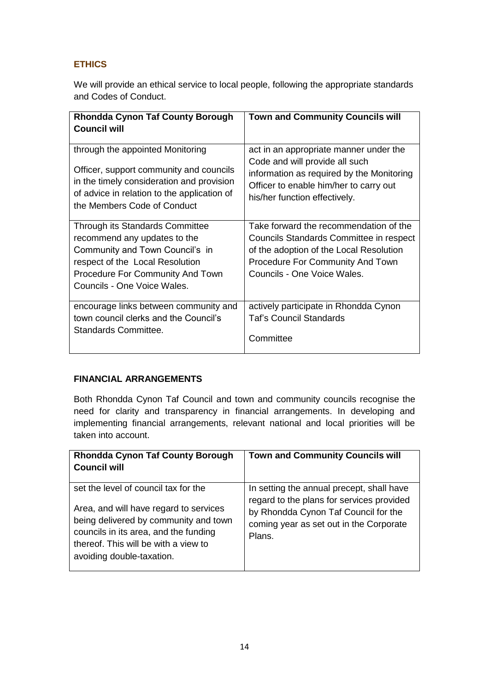# **ETHICS**

We will provide an ethical service to local people, following the appropriate standards and Codes of Conduct.

| <b>Rhondda Cynon Taf County Borough</b><br><b>Council will</b>                                                                                                                                                  | <b>Town and Community Councils will</b>                                                                                                                                                                |
|-----------------------------------------------------------------------------------------------------------------------------------------------------------------------------------------------------------------|--------------------------------------------------------------------------------------------------------------------------------------------------------------------------------------------------------|
| through the appointed Monitoring                                                                                                                                                                                | act in an appropriate manner under the                                                                                                                                                                 |
| Officer, support community and councils                                                                                                                                                                         | Code and will provide all such                                                                                                                                                                         |
| in the timely consideration and provision                                                                                                                                                                       | information as required by the Monitoring                                                                                                                                                              |
| of advice in relation to the application of                                                                                                                                                                     | Officer to enable him/her to carry out                                                                                                                                                                 |
| the Members Code of Conduct                                                                                                                                                                                     | his/her function effectively.                                                                                                                                                                          |
| Through its Standards Committee<br>recommend any updates to the<br>Community and Town Council's in<br>respect of the Local Resolution<br><b>Procedure For Community And Town</b><br>Councils - One Voice Wales. | Take forward the recommendation of the<br>Councils Standards Committee in respect<br>of the adoption of the Local Resolution<br><b>Procedure For Community And Town</b><br>Councils - One Voice Wales. |
| encourage links between community and                                                                                                                                                                           | actively participate in Rhondda Cynon                                                                                                                                                                  |
| town council clerks and the Council's                                                                                                                                                                           | <b>Taf's Council Standards</b>                                                                                                                                                                         |
| <b>Standards Committee.</b>                                                                                                                                                                                     | Committee                                                                                                                                                                                              |

#### **FINANCIAL ARRANGEMENTS**

Both Rhondda Cynon Taf Council and town and community councils recognise the need for clarity and transparency in financial arrangements. In developing and implementing financial arrangements, relevant national and local priorities will be taken into account.

| <b>Rhondda Cynon Taf County Borough</b><br><b>Council will</b>                                                                                                                                                                        | <b>Town and Community Councils will</b>                                                                                                                                             |
|---------------------------------------------------------------------------------------------------------------------------------------------------------------------------------------------------------------------------------------|-------------------------------------------------------------------------------------------------------------------------------------------------------------------------------------|
| set the level of council tax for the<br>Area, and will have regard to services<br>being delivered by community and town<br>councils in its area, and the funding<br>thereof. This will be with a view to<br>avoiding double-taxation. | In setting the annual precept, shall have<br>regard to the plans for services provided<br>by Rhondda Cynon Taf Council for the<br>coming year as set out in the Corporate<br>Plans. |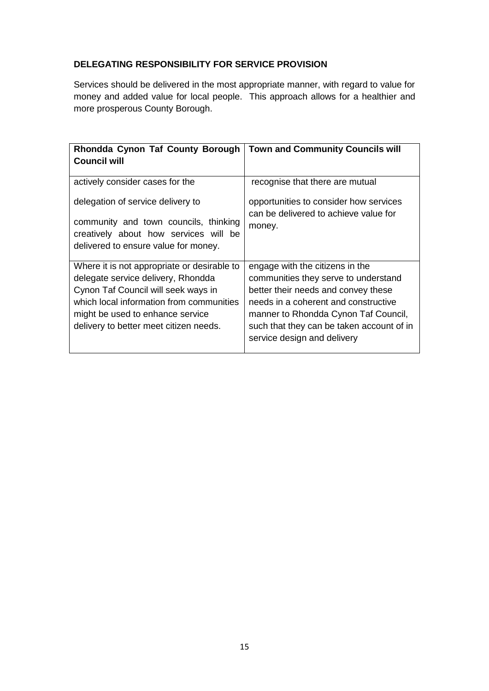# **DELEGATING RESPONSIBILITY FOR SERVICE PROVISION**

Services should be delivered in the most appropriate manner, with regard to value for money and added value for local people. This approach allows for a healthier and more prosperous County Borough.

| Rhondda Cynon Taf County Borough<br><b>Council will</b>                                                                                                                                                                                            | <b>Town and Community Councils will</b>                                                                                                                                                                                                                                    |
|----------------------------------------------------------------------------------------------------------------------------------------------------------------------------------------------------------------------------------------------------|----------------------------------------------------------------------------------------------------------------------------------------------------------------------------------------------------------------------------------------------------------------------------|
| actively consider cases for the<br>delegation of service delivery to<br>community and town councils, thinking<br>creatively about how services will be<br>delivered to ensure value for money.                                                     | recognise that there are mutual<br>opportunities to consider how services<br>can be delivered to achieve value for<br>money.                                                                                                                                               |
| Where it is not appropriate or desirable to<br>delegate service delivery, Rhondda<br>Cynon Taf Council will seek ways in<br>which local information from communities<br>might be used to enhance service<br>delivery to better meet citizen needs. | engage with the citizens in the<br>communities they serve to understand<br>better their needs and convey these<br>needs in a coherent and constructive<br>manner to Rhondda Cynon Taf Council,<br>such that they can be taken account of in<br>service design and delivery |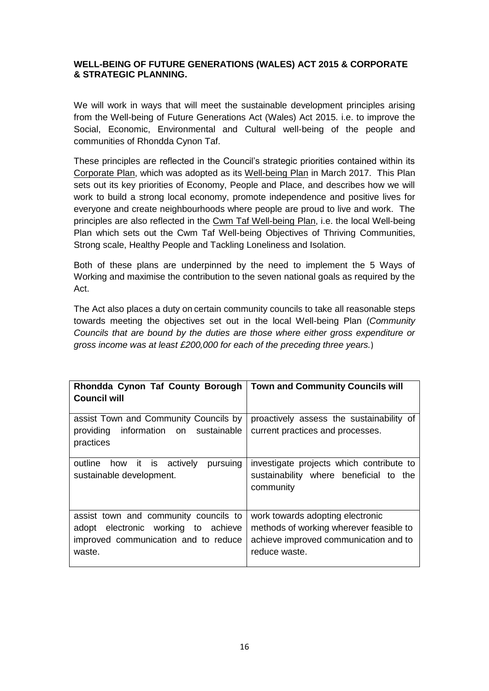#### **WELL-BEING OF FUTURE GENERATIONS (WALES) ACT 2015 & CORPORATE & STRATEGIC PLANNING.**

We will work in ways that will meet the sustainable development principles arising from the Well-being of Future Generations Act (Wales) Act 2015. i.e. to improve the Social, Economic, Environmental and Cultural well-being of the people and communities of Rhondda Cynon Taf.

These principles are reflected in the Council's strategic priorities contained within its [Corporate Plan,](https://www.rctcbc.gov.uk/EN/Council/PerformanceBudgetsandSpending/Councilperformance/RelatedDocuments/CorporatePlan201620/CorporatePlan201620.pdf) which was adopted as its [Well-being Plan](https://www.rctcbc.gov.uk/EN/Council/CouncillorsCommitteesandMeetings/Meetings/Cabinet/2017/03/09/Reports/AgendaItem11WellbeingofFutureGenerationsActtheCouncilsWellbeingObjectives.pdf) in March 2017. This Plan sets out its key priorities of Economy, People and Place, and describes how we will work to build a strong local economy, promote independence and positive lives for everyone and create neighbourhoods where people are proud to live and work. The principles are also reflected in the [Cwm Taf Well-being Plan,](http://www.ourcwmtaf.wales/SharedFiles/Download.aspx?pageid=286&mid=613&fileid=210) i.e. the local Well-being Plan which sets out the Cwm Taf Well-being Objectives of Thriving Communities, Strong scale, Healthy People and Tackling Loneliness and Isolation.

Both of these plans are underpinned by the need to implement the 5 Ways of Working and maximise the contribution to the seven national goals as required by the Act.

The Act also places a duty on certain community councils to take all reasonable steps towards meeting the objectives set out in the local Well-being Plan (*Community Councils that are bound by the duties are those where either gross expenditure or gross income was at least £200,000 for each of the preceding three years.*)

| Rhondda Cynon Taf County Borough                                                                                               | Town and Community Councils will                                                                                                      |
|--------------------------------------------------------------------------------------------------------------------------------|---------------------------------------------------------------------------------------------------------------------------------------|
| <b>Council will</b>                                                                                                            |                                                                                                                                       |
| assist Town and Community Councils by<br>providing information on sustainable<br>practices                                     | proactively assess the sustainability of<br>current practices and processes.                                                          |
| outline<br>how it is actively<br>pursuing<br>sustainable development.                                                          | investigate projects which contribute to<br>sustainability where beneficial to the<br>community                                       |
| assist town and community councils to<br>adopt electronic working to achieve<br>improved communication and to reduce<br>waste. | work towards adopting electronic<br>methods of working wherever feasible to<br>achieve improved communication and to<br>reduce waste. |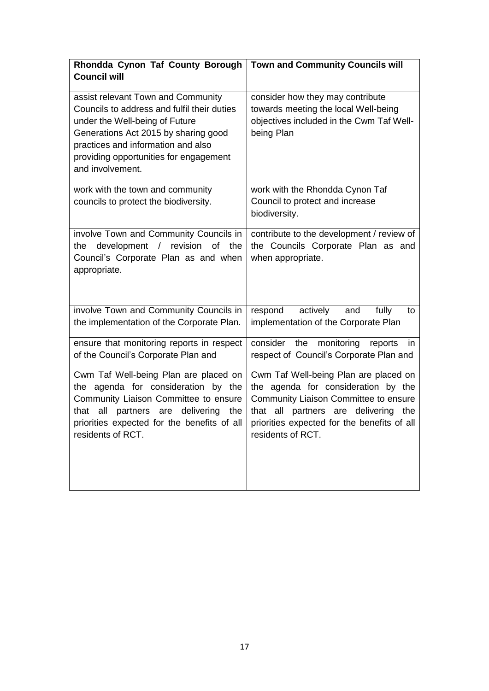| Rhondda Cynon Taf County Borough<br><b>Town and Community Councils will</b>                                                                                                                                                          |
|--------------------------------------------------------------------------------------------------------------------------------------------------------------------------------------------------------------------------------------|
|                                                                                                                                                                                                                                      |
| consider how they may contribute<br>towards meeting the local Well-being<br>objectives included in the Cwm Taf Well-<br>being Plan                                                                                                   |
| work with the Rhondda Cynon Taf<br>Council to protect and increase<br>biodiversity.                                                                                                                                                  |
| contribute to the development / review of<br>the Councils Corporate Plan as and<br>when appropriate.                                                                                                                                 |
| respond<br>actively<br>fully<br>and<br>to<br>implementation of the Corporate Plan                                                                                                                                                    |
| consider the<br>monitoring<br>reports<br>in<br>respect of Council's Corporate Plan and                                                                                                                                               |
| Cwm Taf Well-being Plan are placed on<br>the agenda for consideration by the<br>Community Liaison Committee to ensure<br>that all<br>partners are delivering the<br>priorities expected for the benefits of all<br>residents of RCT. |
|                                                                                                                                                                                                                                      |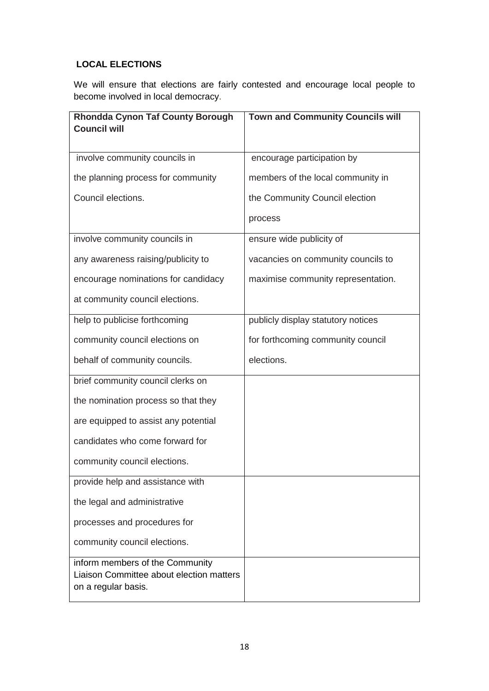## **LOCAL ELECTIONS**

We will ensure that elections are fairly contested and encourage local people to become involved in local democracy.

| <b>Rhondda Cynon Taf County Borough</b><br><b>Council will</b>                                     | <b>Town and Community Councils will</b> |
|----------------------------------------------------------------------------------------------------|-----------------------------------------|
|                                                                                                    |                                         |
| involve community councils in                                                                      | encourage participation by              |
| the planning process for community                                                                 | members of the local community in       |
| Council elections.                                                                                 | the Community Council election          |
|                                                                                                    | process                                 |
| involve community councils in                                                                      | ensure wide publicity of                |
| any awareness raising/publicity to                                                                 | vacancies on community councils to      |
| encourage nominations for candidacy                                                                | maximise community representation.      |
| at community council elections.                                                                    |                                         |
| help to publicise forthcoming                                                                      | publicly display statutory notices      |
| community council elections on                                                                     | for forthcoming community council       |
| behalf of community councils.                                                                      | elections.                              |
| brief community council clerks on                                                                  |                                         |
| the nomination process so that they                                                                |                                         |
| are equipped to assist any potential                                                               |                                         |
| candidates who come forward for                                                                    |                                         |
| community council elections.                                                                       |                                         |
| provide help and assistance with                                                                   |                                         |
| the legal and administrative                                                                       |                                         |
| processes and procedures for                                                                       |                                         |
| community council elections.                                                                       |                                         |
| inform members of the Community<br>Liaison Committee about election matters<br>on a regular basis. |                                         |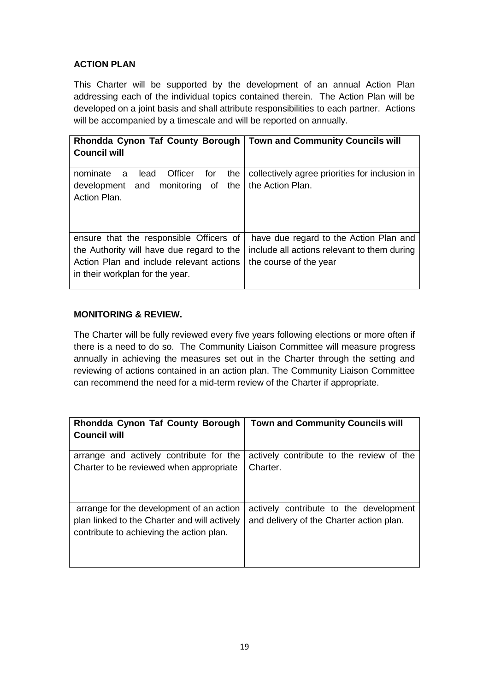#### **ACTION PLAN**

This Charter will be supported by the development of an annual Action Plan addressing each of the individual topics contained therein. The Action Plan will be developed on a joint basis and shall attribute responsibilities to each partner. Actions will be accompanied by a timescale and will be reported on annually.

| Rhondda Cynon Taf County Borough<br><b>Council will</b>                                                                                                             | <b>Town and Community Councils will</b>                                                                         |
|---------------------------------------------------------------------------------------------------------------------------------------------------------------------|-----------------------------------------------------------------------------------------------------------------|
| for<br>Officer<br>nominate<br>lead<br>the<br>a<br>and monitoring of<br>the<br>development<br>Action Plan.                                                           | collectively agree priorities for inclusion in<br>the Action Plan.                                              |
| ensure that the responsible Officers of<br>the Authority will have due regard to the<br>Action Plan and include relevant actions<br>in their workplan for the year. | have due regard to the Action Plan and<br>include all actions relevant to them during<br>the course of the year |

#### **MONITORING & REVIEW.**

The Charter will be fully reviewed every five years following elections or more often if there is a need to do so. The Community Liaison Committee will measure progress annually in achieving the measures set out in the Charter through the setting and reviewing of actions contained in an action plan. The Community Liaison Committee can recommend the need for a mid-term review of the Charter if appropriate.

| Rhondda Cynon Taf County Borough<br><b>Council will</b>                                                                              | <b>Town and Community Councils will</b>                                            |
|--------------------------------------------------------------------------------------------------------------------------------------|------------------------------------------------------------------------------------|
| arrange and actively contribute for the<br>Charter to be reviewed when appropriate                                                   | actively contribute to the review of the<br>Charter.                               |
| arrange for the development of an action<br>plan linked to the Charter and will actively<br>contribute to achieving the action plan. | actively contribute to the development<br>and delivery of the Charter action plan. |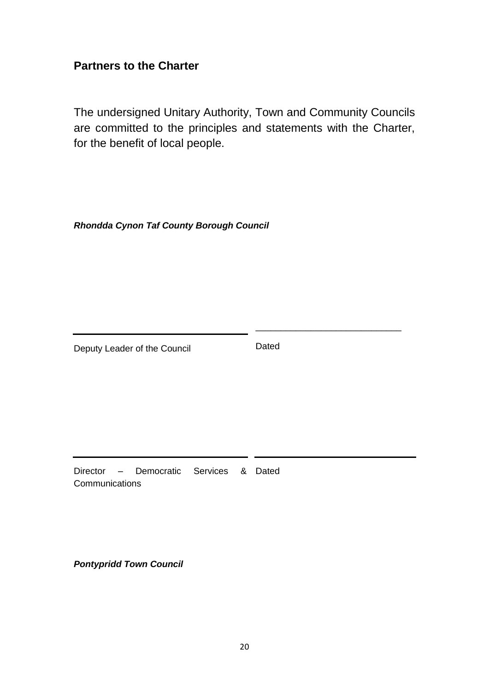# **Partners to the Charter**

The undersigned Unitary Authority, Town and Community Councils are committed to the principles and statements with the Charter, for the benefit of local people.

*Rhondda Cynon Taf County Borough Council*

Deputy Leader of the Council

Dated

\_\_\_\_\_\_\_\_\_\_\_\_\_\_\_\_\_\_\_\_\_\_\_\_\_\_\_\_\_

Director – Democratic Services & Dated **Communications** 

*Pontypridd Town Council*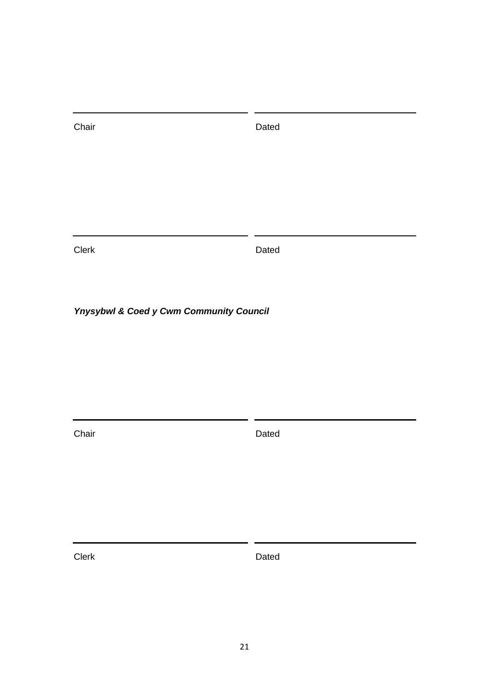Chair **Dated** 

Clerk Dated

*Ynysybwl & Coed y Cwm Community Council*

Chair **Dated**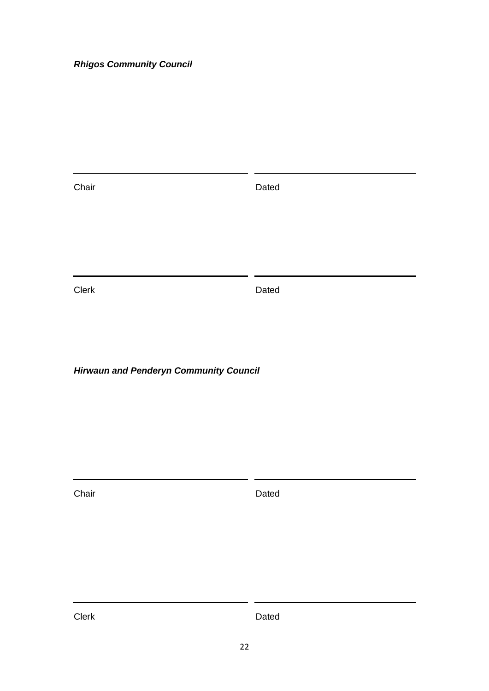# *Rhigos Community Council*

| Chair | Dated |
|-------|-------|
| Clerk | Dated |
|       |       |

*Hirwaun and Penderyn Community Council*

Chair **Dated**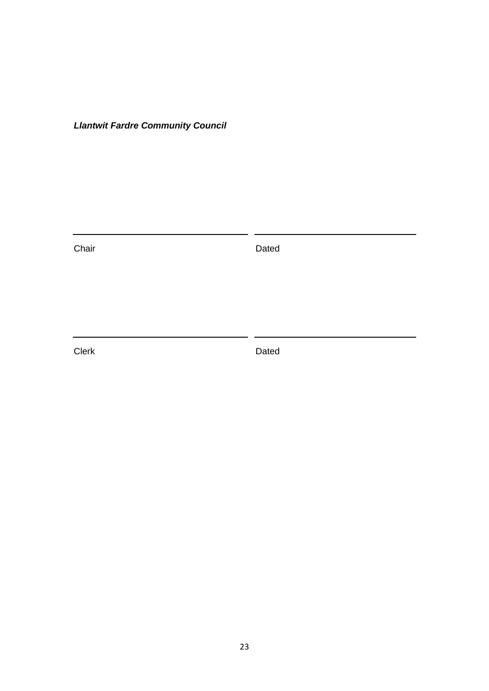*Llantwit Fardre Community Council*

Chair **Dated**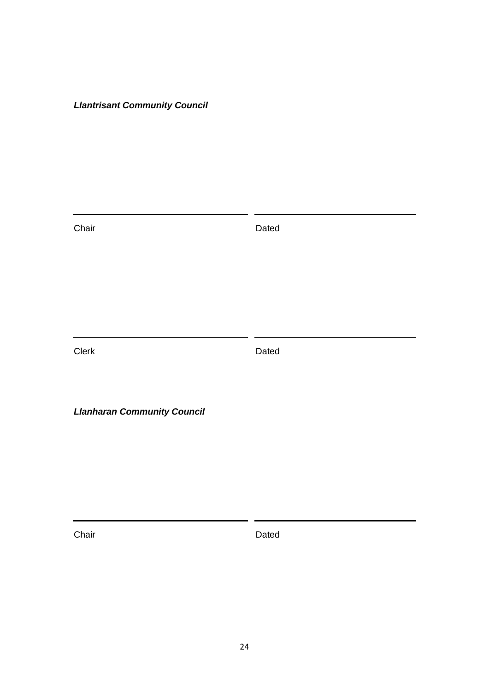# *Llantrisant Community Council*

| Chair                              | Dated |
|------------------------------------|-------|
|                                    |       |
|                                    |       |
|                                    |       |
| Clerk                              | Dated |
|                                    |       |
| <b>Llanharan Community Council</b> |       |
|                                    |       |
|                                    |       |

Chair **Dated**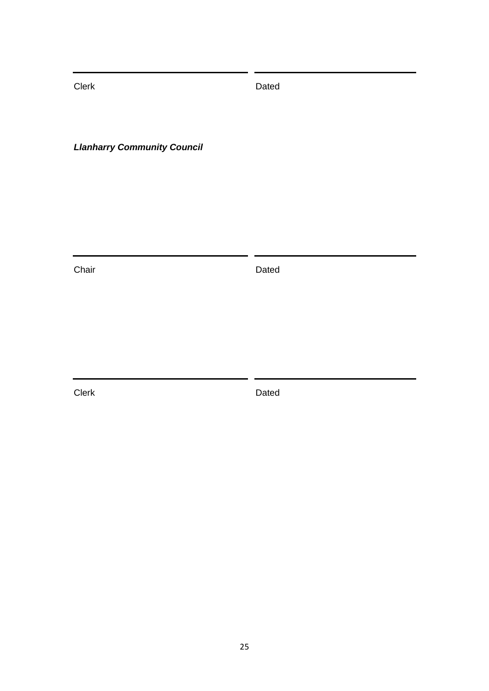Clerk Dated

*Llanharry Community Council*

Chair **Dated**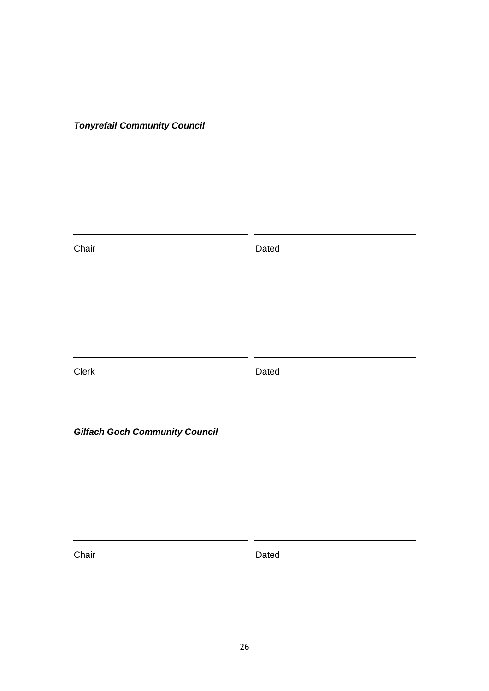*Tonyrefail Community Council*

Chair **Dated** Clerk Dated *Gilfach Goch Community Council*

Chair **Dated**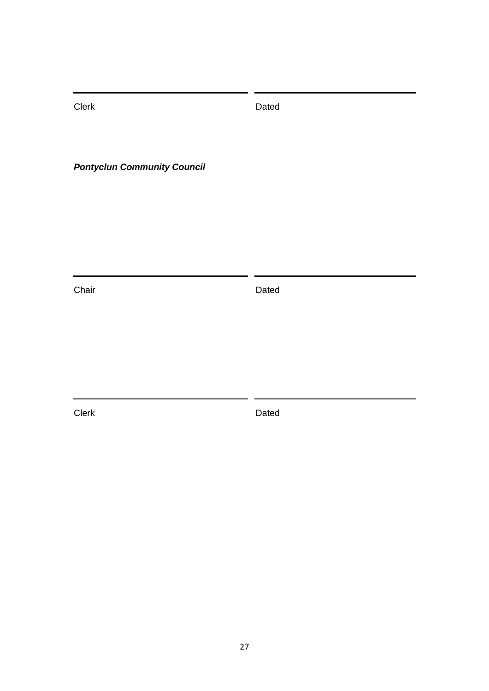Clerk Dated

*Pontyclun Community Council*

Chair **Dated**